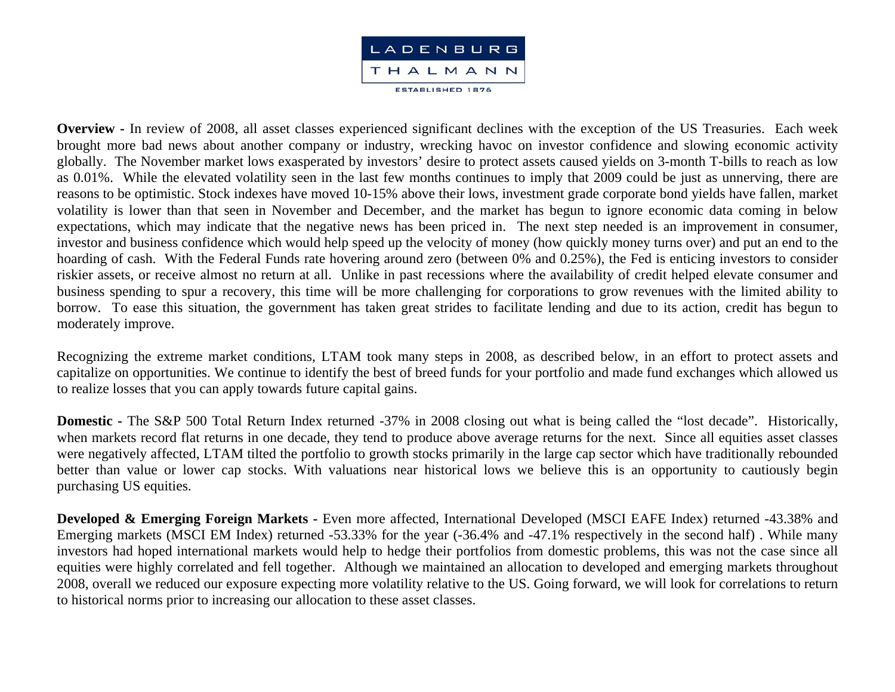

**Overview -** In review of 2008, all asset classes experienced significant declines with the exception of the US Treasuries. Each week brought more bad news about another company or industry, wrecking havoc on investor confidence and slowing economic activity globally. The November market lows exasperated by investors' desire to protect assets caused yields on 3-month T-bills to reach as low as 0.01%. While the elevated volatility seen in the last few months continues to imply that 2009 could be just as unnerving, there are reasons to be optimistic. Stock indexes have moved 10-15% above their lows, investment grade corporate bond yields have fallen, market volatility is lower than that seen in November and December, and the market has begun to ignore economic data coming in below expectations, which may indicate that the negative news has been priced in. The next step needed is an improvement in consumer, investor and business confidence which would help speed up the velocity of money (how quickly money turns over) and put an end to the hoarding of cash. With the Federal Funds rate hovering around zero (between 0% and 0.25%), the Fed is enticing investors to consider riskier assets, or receive almost no return at all. Unlike in past recessions where the availability of credit helped elevate consumer and business spending to spur a recovery, this time will be more challenging for corporations to grow revenues with the limited ability to borrow. To ease this situation, the government has taken great strides to facilitate lending and due to its action, credit has begun to moderately improve.

Recognizing the extreme market conditions, LTAM took many steps in 2008, as described below, in an effort to protect assets and capitalize on opportunities. We continue to identify the best of breed funds for your portfolio and made fund exchanges which allowed us to realize losses that you can apply towards future capital gains.

**Domestic -** The S&P 500 Total Return Index returned -37% in 2008 closing out what is being called the "lost decade". Historically, when markets record flat returns in one decade, they tend to produce above average returns for the next. Since all equities asset classes were negatively affected, LTAM tilted the portfolio to growth stocks primarily in the large cap sector which have traditionally rebounded better than value or lower cap stocks. With valuations near historical lows we believe this is an opportunity to cautiously begin purchasing US equities.

**Developed & Emerging Foreign Markets -** Even more affected, International Developed (MSCI EAFE Index) returned -43.38% and Emerging markets (MSCI EM Index) returned -53.33% for the year (-36.4% and -47.1% respectively in the second half) . While many investors had hoped international markets would help to hedge their portfolios from domestic problems, this was not the case since all equities were highly correlated and fell together. Although we maintained an allocation to developed and emerging markets throughout 2008, overall we reduced our exposure expecting more volatility relative to the US. Going forward, we will look for correlations to return to historical norms prior to increasing our allocation to these asset classes.